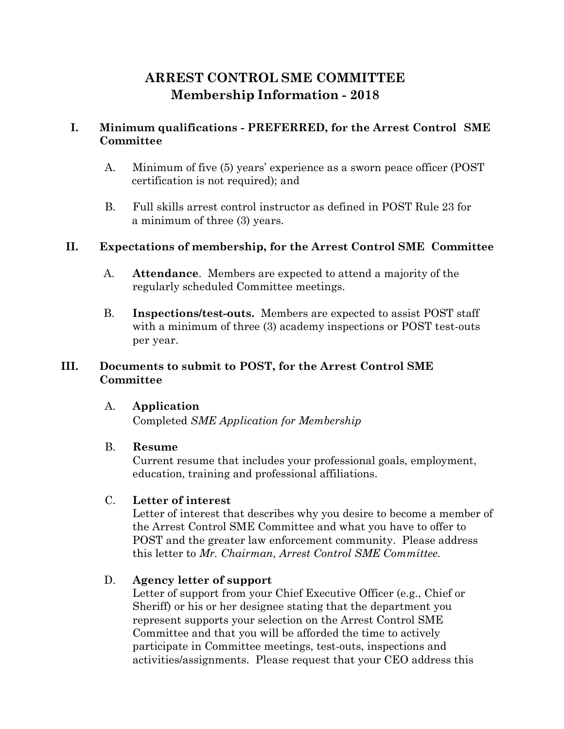# **ARREST CONTROL SME COMMITTEE Membership Information - 2018**

## **I. Minimum qualifications - PREFERRED, for the Arrest Control SME Committee**

- A. Minimum of five (5) years' experience as a sworn peace officer (POST certification is not required); and
- B. Full skills arrest control instructor as defined in POST Rule 23 for a minimum of three (3) years.

#### **II. Expectations of membership, for the Arrest Control SME Committee**

- A. **Attendance**. Members are expected to attend a majority of the regularly scheduled Committee meetings.
- B. **Inspections/test-outs.** Members are expected to assist POST staff with a minimum of three (3) academy inspections or POST test-outs per year.

## **III. Documents to submit to POST, for the Arrest Control SME Committee**

#### A. **Application**

Completed *[SME Application for Membership](https://coloradopost.gov/sites/default/files/post/SME/2018_sme_application_fillable.pdf)*

#### B. **Resume**

Current resume that includes your professional goals, employment, education, training and professional affiliations.

## C. **Letter of interest**

Letter of interest that describes why you desire to become a member of the Arrest Control SME Committee and what you have to offer to POST and the greater law enforcement community. Please address this letter to *Mr. Chairman, Arrest Control SME Committee.*

## D. **Agency letter of support**

Letter of support from your Chief Executive Officer (e.g., Chief or Sheriff) or his or her designee stating that the department you represent supports your selection on the Arrest Control SME Committee and that you will be afforded the time to actively participate in Committee meetings, test-outs, inspections and activities/assignments. Please request that your CEO address this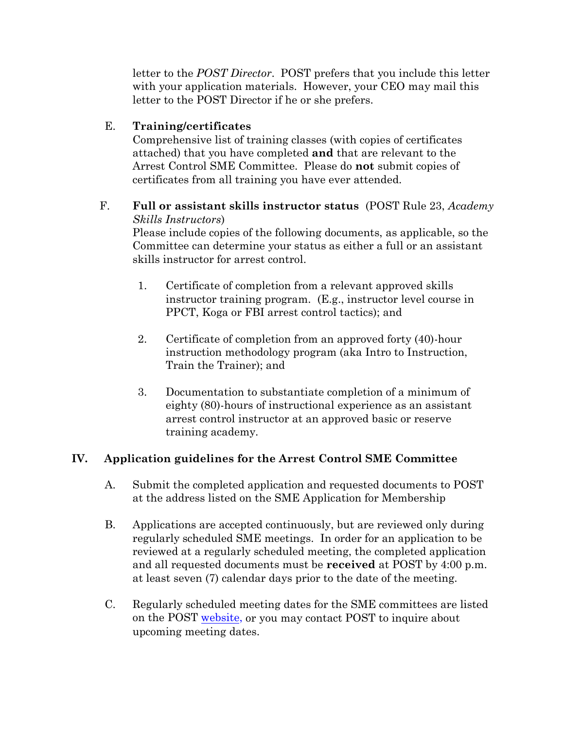letter to the *POST Director*. POST prefers that you include this letter with your application materials. However, your CEO may mail this letter to the POST Director if he or she prefers.

## E. **Training/certificates**

Comprehensive list of training classes (with copies of certificates attached) that you have completed **and** that are relevant to the Arrest Control SME Committee. Please do **not** submit copies of certificates from all training you have ever attended.

#### F. **Full or assistant skills instructor status** (POST Rule 23, *Academy Skills Instructors*)

Please include copies of the following documents, as applicable, so the Committee can determine your status as either a full or an assistant skills instructor for arrest control.

- 1. Certificate of completion from a relevant approved skills instructor training program. (E.g., instructor level course in PPCT, Koga or FBI arrest control tactics); and
- 2. Certificate of completion from an approved forty (40)-hour instruction methodology program (aka Intro to Instruction, Train the Trainer); and
- 3. Documentation to substantiate completion of a minimum of eighty (80)-hours of instructional experience as an assistant arrest control instructor at an approved basic or reserve training academy.

## **IV. Application guidelines for the Arrest Control SME Committee**

- A. Submit the completed application and requested documents to POST at the address listed on the [SME Application for Membership](https://coloradopost.gov/sites/default/files/post/SME/2018_sme_application_fillable.pdf)
- B. Applications are accepted continuously, but are reviewed only during regularly scheduled SME meetings. In order for an application to be reviewed at a regularly scheduled meeting, the completed application and all requested documents must be **received** at POST by 4:00 p.m. at least seven (7) calendar days prior to the date of the meeting.
- C. Regularly scheduled meeting dates for the SME committees are listed on the POST [website,](http://www.coloradopost.gov/about-post/sme-committees) or you may contact POST to inquire about upcoming meeting dates.